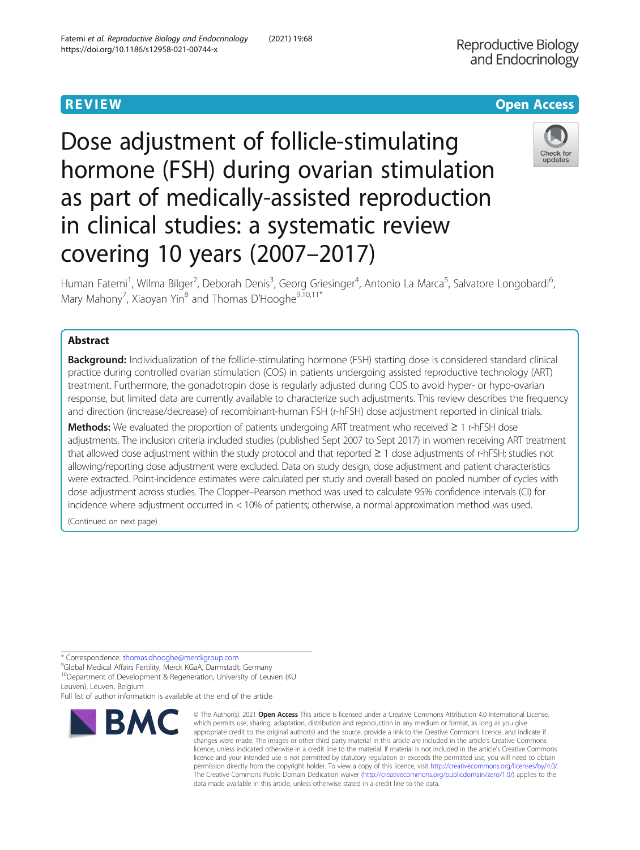# **REVIEW CONTROL** CONTROL CONTROL CONTROL CONTROL CONTROL CONTROL CONTROL CONTROL CONTROL CONTROL CONTROL CONTROL

Dose adjustment of follicle-stimulating hormone (FSH) during ovarian stimulation as part of medically-assisted reproduction in clinical studies: a systematic review covering 10 years (2007–2017)



Human Fatemi<sup>1</sup>, Wilma Bilger<sup>2</sup>, Deborah Denis<sup>3</sup>, Georg Griesinger<sup>4</sup>, Antonio La Marca<sup>5</sup>, Salvatore Longobardi<sup>6</sup> , Mary Mahony<sup>7</sup>, Xiaoyan Yin<sup>8</sup> and Thomas D'Hooghe<sup>9,10,11\*</sup>

# Abstract

**Background:** Individualization of the follicle-stimulating hormone (FSH) starting dose is considered standard clinical practice during controlled ovarian stimulation (COS) in patients undergoing assisted reproductive technology (ART) treatment. Furthermore, the gonadotropin dose is regularly adjusted during COS to avoid hyper- or hypo-ovarian response, but limited data are currently available to characterize such adjustments. This review describes the frequency and direction (increase/decrease) of recombinant-human FSH (r-hFSH) dose adjustment reported in clinical trials.

Methods: We evaluated the proportion of patients undergoing ART treatment who received ≥ 1 r-hFSH dose adjustments. The inclusion criteria included studies (published Sept 2007 to Sept 2017) in women receiving ART treatment that allowed dose adjustment within the study protocol and that reported ≥ 1 dose adjustments of r-hFSH; studies not allowing/reporting dose adjustment were excluded. Data on study design, dose adjustment and patient characteristics were extracted. Point-incidence estimates were calculated per study and overall based on pooled number of cycles with dose adjustment across studies. The Clopper–Pearson method was used to calculate 95% confidence intervals (CI) for incidence where adjustment occurred in < 10% of patients; otherwise, a normal approximation method was used.

(Continued on next page)

\* Correspondence: [thomas.dhooghe@merckgroup.com](mailto:thomas.dhooghe@merckgroup.com) <sup>9</sup>

<sup>9</sup>Global Medical Affairs Fertility, Merck KGaA, Darmstadt, Germany

<sup>10</sup>Department of Development & Regeneration, University of Leuven (KU Leuven), Leuven, Belgium

Full list of author information is available at the end of the article



<sup>©</sup> The Author(s), 2021 **Open Access** This article is licensed under a Creative Commons Attribution 4.0 International License, which permits use, sharing, adaptation, distribution and reproduction in any medium or format, as long as you give appropriate credit to the original author(s) and the source, provide a link to the Creative Commons licence, and indicate if changes were made. The images or other third party material in this article are included in the article's Creative Commons licence, unless indicated otherwise in a credit line to the material. If material is not included in the article's Creative Commons licence and your intended use is not permitted by statutory regulation or exceeds the permitted use, you will need to obtain permission directly from the copyright holder. To view a copy of this licence, visit [http://creativecommons.org/licenses/by/4.0/.](http://creativecommons.org/licenses/by/4.0/) The Creative Commons Public Domain Dedication waiver [\(http://creativecommons.org/publicdomain/zero/1.0/](http://creativecommons.org/publicdomain/zero/1.0/)) applies to the data made available in this article, unless otherwise stated in a credit line to the data.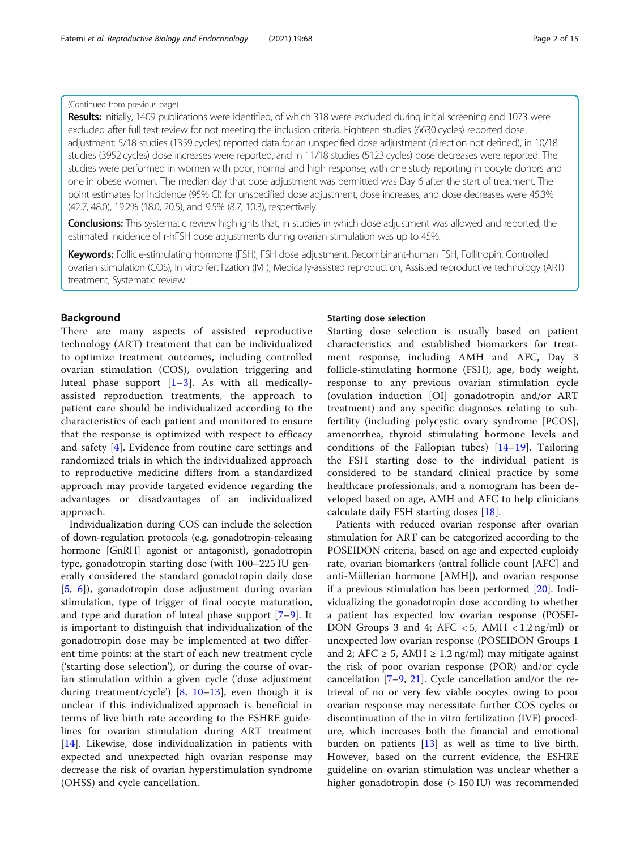# (Continued from previous page)

Results: Initially, 1409 publications were identified, of which 318 were excluded during initial screening and 1073 were excluded after full text review for not meeting the inclusion criteria. Eighteen studies (6630 cycles) reported dose adjustment: 5/18 studies (1359 cycles) reported data for an unspecified dose adjustment (direction not defined), in 10/18 studies (3952 cycles) dose increases were reported, and in 11/18 studies (5123 cycles) dose decreases were reported. The studies were performed in women with poor, normal and high response, with one study reporting in oocyte donors and one in obese women. The median day that dose adjustment was permitted was Day 6 after the start of treatment. The point estimates for incidence (95% CI) for unspecified dose adjustment, dose increases, and dose decreases were 45.3% (42.7, 48.0), 19.2% (18.0, 20.5), and 9.5% (8.7, 10.3), respectively.

**Conclusions:** This systematic review highlights that, in studies in which dose adjustment was allowed and reported, the estimated incidence of r-hFSH dose adjustments during ovarian stimulation was up to 45%.

Keywords: Follicle-stimulating hormone (FSH), FSH dose adjustment, Recombinant-human FSH, Follitropin, Controlled ovarian stimulation (COS), In vitro fertilization (IVF), Medically-assisted reproduction, Assisted reproductive technology (ART) treatment, Systematic review

# Background

There are many aspects of assisted reproductive technology (ART) treatment that can be individualized to optimize treatment outcomes, including controlled ovarian stimulation (COS), ovulation triggering and luteal phase support  $[1-3]$  $[1-3]$  $[1-3]$ . As with all medicallyassisted reproduction treatments, the approach to patient care should be individualized according to the characteristics of each patient and monitored to ensure that the response is optimized with respect to efficacy and safety [[4](#page-11-0)]. Evidence from routine care settings and randomized trials in which the individualized approach to reproductive medicine differs from a standardized approach may provide targeted evidence regarding the advantages or disadvantages of an individualized approach.

Individualization during COS can include the selection of down-regulation protocols (e.g. gonadotropin-releasing hormone [GnRH] agonist or antagonist), gonadotropin type, gonadotropin starting dose (with 100–225 IU generally considered the standard gonadotropin daily dose [[5,](#page-11-0) [6](#page-11-0)]), gonadotropin dose adjustment during ovarian stimulation, type of trigger of final oocyte maturation, and type and duration of luteal phase support [[7](#page-11-0)–[9\]](#page-11-0). It is important to distinguish that individualization of the gonadotropin dose may be implemented at two different time points: at the start of each new treatment cycle ('starting dose selection'), or during the course of ovarian stimulation within a given cycle ('dose adjustment during treatment/cycle') [\[8](#page-11-0),  $10-13$  $10-13$  $10-13$ ], even though it is unclear if this individualized approach is beneficial in terms of live birth rate according to the ESHRE guidelines for ovarian stimulation during ART treatment [[14\]](#page-12-0). Likewise, dose individualization in patients with expected and unexpected high ovarian response may decrease the risk of ovarian hyperstimulation syndrome (OHSS) and cycle cancellation.

#### Starting dose selection

Starting dose selection is usually based on patient characteristics and established biomarkers for treatment response, including AMH and AFC, Day 3 follicle-stimulating hormone (FSH), age, body weight, response to any previous ovarian stimulation cycle (ovulation induction [OI] gonadotropin and/or ART treatment) and any specific diagnoses relating to subfertility (including polycystic ovary syndrome [PCOS], amenorrhea, thyroid stimulating hormone levels and conditions of the Fallopian tubes)  $[14–19]$  $[14–19]$  $[14–19]$  $[14–19]$ . Tailoring the FSH starting dose to the individual patient is considered to be standard clinical practice by some healthcare professionals, and a nomogram has been developed based on age, AMH and AFC to help clinicians calculate daily FSH starting doses [[18\]](#page-12-0).

Patients with reduced ovarian response after ovarian stimulation for ART can be categorized according to the POSEIDON criteria, based on age and expected euploidy rate, ovarian biomarkers (antral follicle count [AFC] and anti-Müllerian hormone [AMH]), and ovarian response if a previous stimulation has been performed [[20\]](#page-12-0). Individualizing the gonadotropin dose according to whether a patient has expected low ovarian response (POSEI-DON Groups 3 and 4; AFC  $<$  5, AMH  $<$  1.2 ng/ml) or unexpected low ovarian response (POSEIDON Groups 1 and 2; AFC  $\geq$  5, AMH  $\geq$  1.2 ng/ml) may mitigate against the risk of poor ovarian response (POR) and/or cycle cancellation [\[7](#page-11-0)–[9](#page-11-0), [21\]](#page-12-0). Cycle cancellation and/or the retrieval of no or very few viable oocytes owing to poor ovarian response may necessitate further COS cycles or discontinuation of the in vitro fertilization (IVF) procedure, which increases both the financial and emotional burden on patients [[13\]](#page-11-0) as well as time to live birth. However, based on the current evidence, the ESHRE guideline on ovarian stimulation was unclear whether a higher gonadotropin dose (> 150 IU) was recommended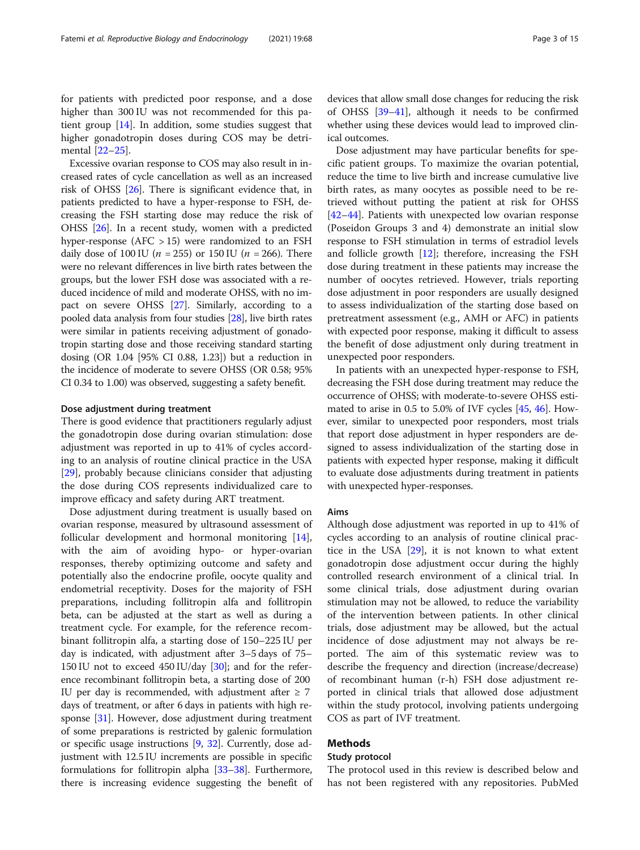for patients with predicted poor response, and a dose higher than 300 IU was not recommended for this patient group [[14\]](#page-12-0). In addition, some studies suggest that higher gonadotropin doses during COS may be detrimental [[22](#page-12-0)–[25\]](#page-12-0).

Excessive ovarian response to COS may also result in increased rates of cycle cancellation as well as an increased risk of OHSS [[26](#page-12-0)]. There is significant evidence that, in patients predicted to have a hyper-response to FSH, decreasing the FSH starting dose may reduce the risk of OHSS [\[26\]](#page-12-0). In a recent study, women with a predicted hyper-response ( $AFC > 15$ ) were randomized to an FSH daily dose of 100 IU ( $n = 255$ ) or 150 IU ( $n = 266$ ). There were no relevant differences in live birth rates between the groups, but the lower FSH dose was associated with a reduced incidence of mild and moderate OHSS, with no impact on severe OHSS [[27](#page-12-0)]. Similarly, according to a pooled data analysis from four studies [\[28\]](#page-12-0), live birth rates were similar in patients receiving adjustment of gonadotropin starting dose and those receiving standard starting dosing (OR 1.04 [95% CI 0.88, 1.23]) but a reduction in the incidence of moderate to severe OHSS (OR 0.58; 95% CI 0.34 to 1.00) was observed, suggesting a safety benefit.

### Dose adjustment during treatment

There is good evidence that practitioners regularly adjust the gonadotropin dose during ovarian stimulation: dose adjustment was reported in up to 41% of cycles according to an analysis of routine clinical practice in the USA [[29\]](#page-12-0), probably because clinicians consider that adjusting the dose during COS represents individualized care to improve efficacy and safety during ART treatment.

Dose adjustment during treatment is usually based on ovarian response, measured by ultrasound assessment of follicular development and hormonal monitoring [\[14](#page-12-0)], with the aim of avoiding hypo- or hyper-ovarian responses, thereby optimizing outcome and safety and potentially also the endocrine profile, oocyte quality and endometrial receptivity. Doses for the majority of FSH preparations, including follitropin alfa and follitropin beta, can be adjusted at the start as well as during a treatment cycle. For example, for the reference recombinant follitropin alfa, a starting dose of 150–225 IU per day is indicated, with adjustment after 3–5 days of 75– 150 IU not to exceed 450 IU/day [[30\]](#page-12-0); and for the reference recombinant follitropin beta, a starting dose of 200 IU per day is recommended, with adjustment after  $\geq 7$ days of treatment, or after 6 days in patients with high response [[31](#page-12-0)]. However, dose adjustment during treatment of some preparations is restricted by galenic formulation or specific usage instructions [\[9](#page-11-0), [32\]](#page-12-0). Currently, dose adjustment with 12.5 IU increments are possible in specific formulations for follitropin alpha [\[33](#page-12-0)–[38](#page-12-0)]. Furthermore, there is increasing evidence suggesting the benefit of

devices that allow small dose changes for reducing the risk of OHSS [\[39](#page-12-0)–[41](#page-12-0)], although it needs to be confirmed whether using these devices would lead to improved clinical outcomes.

Dose adjustment may have particular benefits for specific patient groups. To maximize the ovarian potential, reduce the time to live birth and increase cumulative live birth rates, as many oocytes as possible need to be retrieved without putting the patient at risk for OHSS [[42](#page-12-0)–[44](#page-12-0)]. Patients with unexpected low ovarian response (Poseidon Groups 3 and 4) demonstrate an initial slow response to FSH stimulation in terms of estradiol levels and follicle growth  $[12]$ ; therefore, increasing the FSH dose during treatment in these patients may increase the number of oocytes retrieved. However, trials reporting dose adjustment in poor responders are usually designed to assess individualization of the starting dose based on pretreatment assessment (e.g., AMH or AFC) in patients with expected poor response, making it difficult to assess the benefit of dose adjustment only during treatment in unexpected poor responders.

In patients with an unexpected hyper-response to FSH, decreasing the FSH dose during treatment may reduce the occurrence of OHSS; with moderate-to-severe OHSS estimated to arise in 0.5 to 5.0% of IVF cycles [\[45,](#page-12-0) [46](#page-12-0)]. However, similar to unexpected poor responders, most trials that report dose adjustment in hyper responders are designed to assess individualization of the starting dose in patients with expected hyper response, making it difficult to evaluate dose adjustments during treatment in patients with unexpected hyper-responses.

#### Aims

Although dose adjustment was reported in up to 41% of cycles according to an analysis of routine clinical practice in the USA [\[29\]](#page-12-0), it is not known to what extent gonadotropin dose adjustment occur during the highly controlled research environment of a clinical trial. In some clinical trials, dose adjustment during ovarian stimulation may not be allowed, to reduce the variability of the intervention between patients. In other clinical trials, dose adjustment may be allowed, but the actual incidence of dose adjustment may not always be reported. The aim of this systematic review was to describe the frequency and direction (increase/decrease) of recombinant human (r-h) FSH dose adjustment reported in clinical trials that allowed dose adjustment within the study protocol, involving patients undergoing COS as part of IVF treatment.

# Methods

# Study protocol

The protocol used in this review is described below and has not been registered with any repositories. PubMed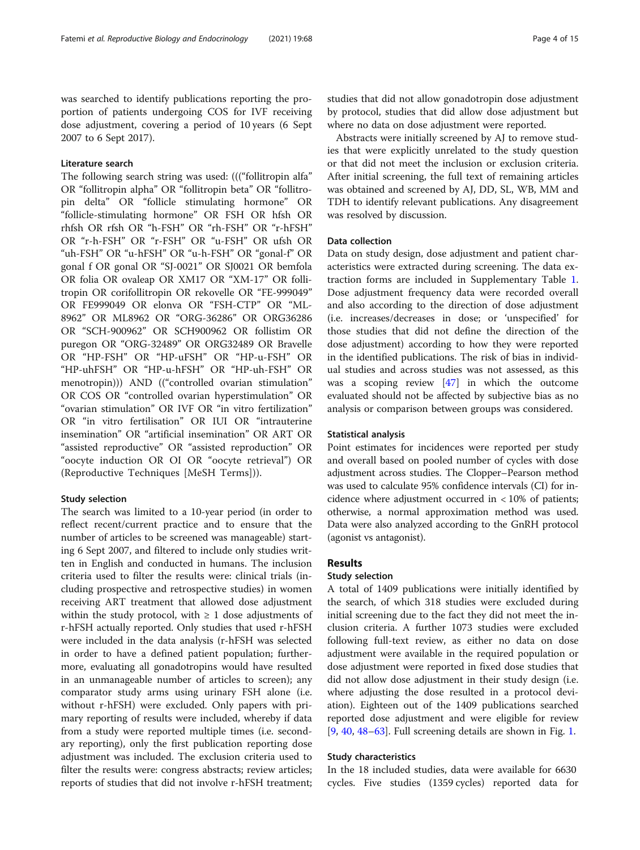# Literature search

The following search string was used: ((("follitropin alfa" OR "follitropin alpha" OR "follitropin beta" OR "follitropin delta" OR "follicle stimulating hormone" OR "follicle-stimulating hormone" OR FSH OR hfsh OR rhfsh OR rfsh OR "h-FSH" OR "rh-FSH" OR "r-hFSH" OR "r-h-FSH" OR "r-FSH" OR "u-FSH" OR ufsh OR "uh-FSH" OR "u-hFSH" OR "u-h-FSH" OR "gonal-f" OR gonal f OR gonal OR "SJ-0021" OR SJ0021 OR bemfola OR folia OR ovaleap OR XM17 OR "XM-17" OR follitropin OR corifollitropin OR rekovelle OR "FE-999049" OR FE999049 OR elonva OR "FSH-CTP" OR "ML-8962" OR ML8962 OR "ORG-36286" OR ORG36286 OR "SCH-900962" OR SCH900962 OR follistim OR puregon OR "ORG-32489" OR ORG32489 OR Bravelle OR "HP-FSH" OR "HP-uFSH" OR "HP-u-FSH" OR "HP-uhFSH" OR "HP-u-hFSH" OR "HP-uh-FSH" OR menotropin))) AND (("controlled ovarian stimulation" OR COS OR "controlled ovarian hyperstimulation" OR "ovarian stimulation" OR IVF OR "in vitro fertilization" OR "in vitro fertilisation" OR IUI OR "intrauterine insemination" OR "artificial insemination" OR ART OR "assisted reproductive" OR "assisted reproduction" OR "oocyte induction OR OI OR "oocyte retrieval") OR (Reproductive Techniques [MeSH Terms])).

# Study selection

The search was limited to a 10-year period (in order to reflect recent/current practice and to ensure that the number of articles to be screened was manageable) starting 6 Sept 2007, and filtered to include only studies written in English and conducted in humans. The inclusion criteria used to filter the results were: clinical trials (including prospective and retrospective studies) in women receiving ART treatment that allowed dose adjustment within the study protocol, with  $\geq 1$  dose adjustments of r-hFSH actually reported. Only studies that used r-hFSH were included in the data analysis (r-hFSH was selected in order to have a defined patient population; furthermore, evaluating all gonadotropins would have resulted in an unmanageable number of articles to screen); any comparator study arms using urinary FSH alone (i.e. without r-hFSH) were excluded. Only papers with primary reporting of results were included, whereby if data from a study were reported multiple times (i.e. secondary reporting), only the first publication reporting dose adjustment was included. The exclusion criteria used to filter the results were: congress abstracts; review articles; reports of studies that did not involve r-hFSH treatment; studies that did not allow gonadotropin dose adjustment by protocol, studies that did allow dose adjustment but where no data on dose adjustment were reported.

Abstracts were initially screened by AJ to remove studies that were explicitly unrelated to the study question or that did not meet the inclusion or exclusion criteria. After initial screening, the full text of remaining articles was obtained and screened by AJ, DD, SL, WB, MM and TDH to identify relevant publications. Any disagreement was resolved by discussion.

# Data collection

Data on study design, dose adjustment and patient characteristics were extracted during screening. The data extraction forms are included in Supplementary Table [1](#page-11-0). Dose adjustment frequency data were recorded overall and also according to the direction of dose adjustment (i.e. increases/decreases in dose; or 'unspecified' for those studies that did not define the direction of the dose adjustment) according to how they were reported in the identified publications. The risk of bias in individual studies and across studies was not assessed, as this was a scoping review [[47\]](#page-12-0) in which the outcome evaluated should not be affected by subjective bias as no analysis or comparison between groups was considered.

# Statistical analysis

Point estimates for incidences were reported per study and overall based on pooled number of cycles with dose adjustment across studies. The Clopper–Pearson method was used to calculate 95% confidence intervals (CI) for incidence where adjustment occurred in < 10% of patients; otherwise, a normal approximation method was used. Data were also analyzed according to the GnRH protocol (agonist vs antagonist).

# Results

# Study selection

A total of 1409 publications were initially identified by the search, of which 318 studies were excluded during initial screening due to the fact they did not meet the inclusion criteria. A further 1073 studies were excluded following full-text review, as either no data on dose adjustment were available in the required population or dose adjustment were reported in fixed dose studies that did not allow dose adjustment in their study design (i.e. where adjusting the dose resulted in a protocol deviation). Eighteen out of the 1409 publications searched reported dose adjustment and were eligible for review [[9,](#page-11-0) [40,](#page-12-0) [48](#page-12-0)–[63](#page-13-0)]. Full screening details are shown in Fig. [1.](#page-4-0)

# Study characteristics

In the 18 included studies, data were available for 6630 cycles. Five studies (1359 cycles) reported data for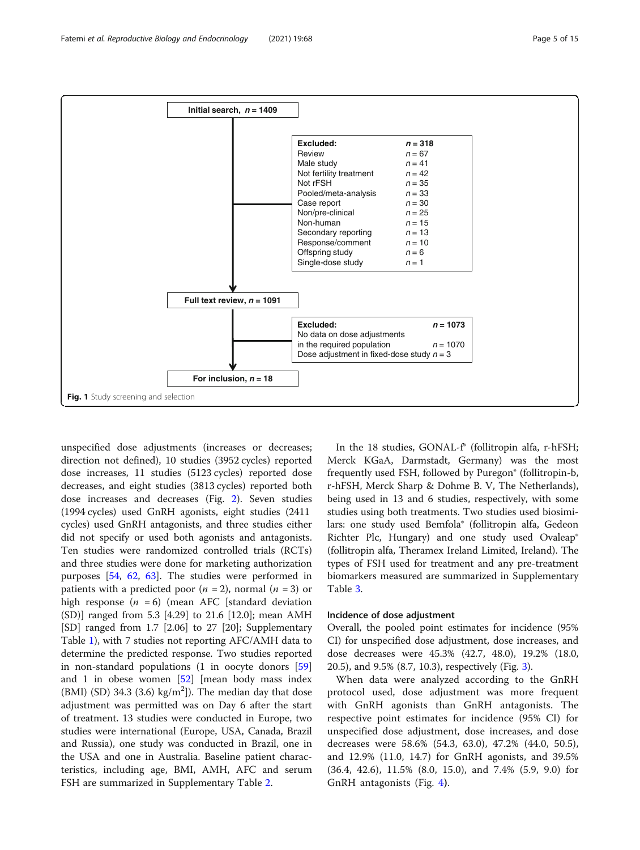<span id="page-4-0"></span>

unspecified dose adjustments (increases or decreases; direction not defined), 10 studies (3952 cycles) reported dose increases, 11 studies (5123 cycles) reported dose decreases, and eight studies (3813 cycles) reported both dose increases and decreases (Fig. [2](#page-5-0)). Seven studies (1994 cycles) used GnRH agonists, eight studies (2411 cycles) used GnRH antagonists, and three studies either did not specify or used both agonists and antagonists. Ten studies were randomized controlled trials (RCTs) and three studies were done for marketing authorization purposes [\[54](#page-13-0), [62](#page-13-0), [63](#page-13-0)]. The studies were performed in patients with a predicted poor  $(n = 2)$ , normal  $(n = 3)$  or high response  $(n = 6)$  (mean AFC [standard deviation (SD)] ranged from 5.3 [4.29] to 21.6 [12.0]; mean AMH [SD] ranged from 1.7 [2.06] to 27 [20]; Supplementary Table [1\)](#page-11-0), with 7 studies not reporting AFC/AMH data to determine the predicted response. Two studies reported in non-standard populations (1 in oocyte donors [[59](#page-13-0)] and 1 in obese women [[52\]](#page-13-0) [mean body mass index  $(BMI)$  (SD) 34.3 (3.6) kg/m<sup>2</sup>]). The median day that dose adjustment was permitted was on Day 6 after the start of treatment. 13 studies were conducted in Europe, two studies were international (Europe, USA, Canada, Brazil and Russia), one study was conducted in Brazil, one in the USA and one in Australia. Baseline patient characteristics, including age, BMI, AMH, AFC and serum FSH are summarized in Supplementary Table [2.](#page-11-0)

In the 18 studies, GONAL-f® (follitropin alfa, r-hFSH; Merck KGaA, Darmstadt, Germany) was the most frequently used FSH, followed by Puregon® (follitropin-b, r-hFSH, Merck Sharp & Dohme B. V, The Netherlands), being used in 13 and 6 studies, respectively, with some studies using both treatments. Two studies used biosimilars: one study used Bemfola® (follitropin alfa, Gedeon Richter Plc, Hungary) and one study used Ovaleap® (follitropin alfa, Theramex Ireland Limited, Ireland). The types of FSH used for treatment and any pre-treatment biomarkers measured are summarized in Supplementary Table [3.](#page-11-0)

# Incidence of dose adjustment

Overall, the pooled point estimates for incidence (95% CI) for unspecified dose adjustment, dose increases, and dose decreases were 45.3% (42.7, 48.0), 19.2% (18.0, 20.5), and 9.5% (8.7, 10.3), respectively (Fig. [3\)](#page-6-0).

When data were analyzed according to the GnRH protocol used, dose adjustment was more frequent with GnRH agonists than GnRH antagonists. The respective point estimates for incidence (95% CI) for unspecified dose adjustment, dose increases, and dose decreases were 58.6% (54.3, 63.0), 47.2% (44.0, 50.5), and 12.9% (11.0, 14.7) for GnRH agonists, and 39.5% (36.4, 42.6), 11.5% (8.0, 15.0), and 7.4% (5.9, 9.0) for GnRH antagonists (Fig. [4](#page-7-0)).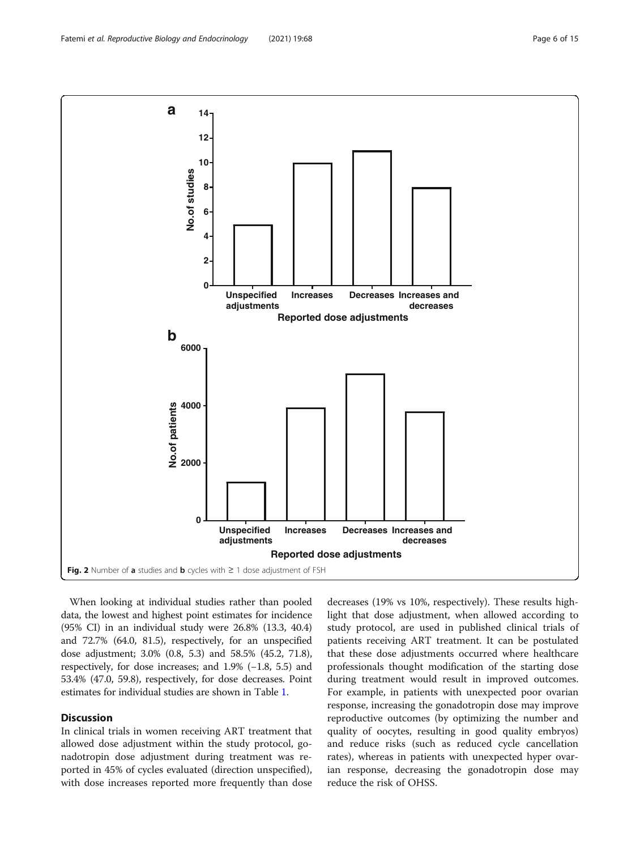<span id="page-5-0"></span>

When looking at individual studies rather than pooled data, the lowest and highest point estimates for incidence (95% CI) in an individual study were 26.8% (13.3, 40.4) and 72.7% (64.0, 81.5), respectively, for an unspecified dose adjustment; 3.0% (0.8, 5.3) and 58.5% (45.2, 71.8), respectively, for dose increases; and 1.9% (−1.8, 5.5) and 53.4% (47.0, 59.8), respectively, for dose decreases. Point estimates for individual studies are shown in Table [1.](#page-8-0)

# **Discussion**

In clinical trials in women receiving ART treatment that allowed dose adjustment within the study protocol, gonadotropin dose adjustment during treatment was reported in 45% of cycles evaluated (direction unspecified), with dose increases reported more frequently than dose

decreases (19% vs 10%, respectively). These results highlight that dose adjustment, when allowed according to study protocol, are used in published clinical trials of patients receiving ART treatment. It can be postulated that these dose adjustments occurred where healthcare professionals thought modification of the starting dose during treatment would result in improved outcomes. For example, in patients with unexpected poor ovarian response, increasing the gonadotropin dose may improve reproductive outcomes (by optimizing the number and quality of oocytes, resulting in good quality embryos) and reduce risks (such as reduced cycle cancellation rates), whereas in patients with unexpected hyper ovarian response, decreasing the gonadotropin dose may reduce the risk of OHSS.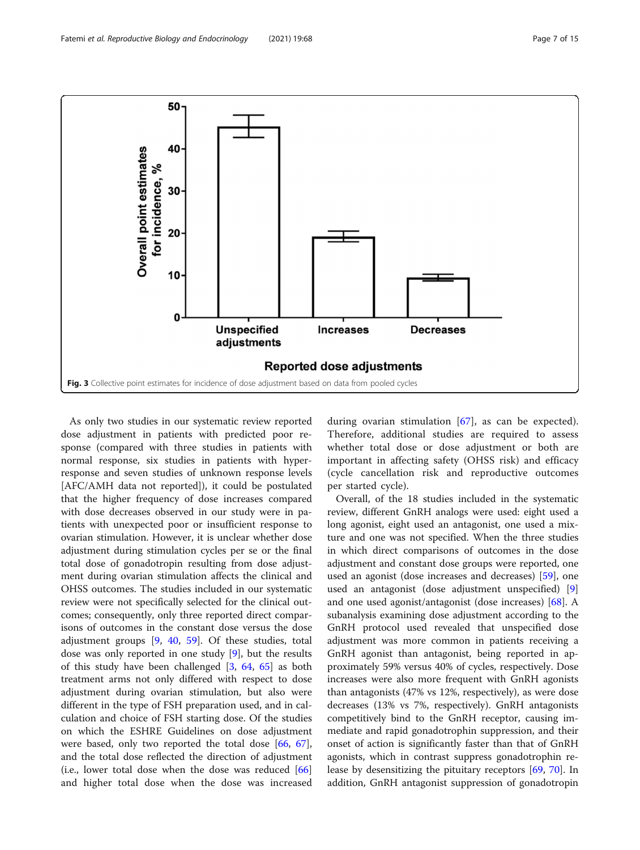<span id="page-6-0"></span>

As only two studies in our systematic review reported dose adjustment in patients with predicted poor response (compared with three studies in patients with normal response, six studies in patients with hyperresponse and seven studies of unknown response levels [AFC/AMH data not reported]), it could be postulated that the higher frequency of dose increases compared with dose decreases observed in our study were in patients with unexpected poor or insufficient response to ovarian stimulation. However, it is unclear whether dose adjustment during stimulation cycles per se or the final total dose of gonadotropin resulting from dose adjustment during ovarian stimulation affects the clinical and OHSS outcomes. The studies included in our systematic review were not specifically selected for the clinical outcomes; consequently, only three reported direct comparisons of outcomes in the constant dose versus the dose adjustment groups [[9,](#page-11-0) [40](#page-12-0), [59](#page-13-0)]. Of these studies, total dose was only reported in one study [\[9](#page-11-0)], but the results of this study have been challenged [\[3](#page-11-0), [64,](#page-13-0) [65](#page-13-0)] as both treatment arms not only differed with respect to dose adjustment during ovarian stimulation, but also were different in the type of FSH preparation used, and in calculation and choice of FSH starting dose. Of the studies on which the ESHRE Guidelines on dose adjustment were based, only two reported the total dose [[66,](#page-13-0) [67](#page-13-0)], and the total dose reflected the direction of adjustment (i.e., lower total dose when the dose was reduced  $[66]$  $[66]$  $[66]$ and higher total dose when the dose was increased during ovarian stimulation  $[67]$  $[67]$ , as can be expected). Therefore, additional studies are required to assess whether total dose or dose adjustment or both are important in affecting safety (OHSS risk) and efficacy (cycle cancellation risk and reproductive outcomes per started cycle).

Overall, of the 18 studies included in the systematic review, different GnRH analogs were used: eight used a long agonist, eight used an antagonist, one used a mixture and one was not specified. When the three studies in which direct comparisons of outcomes in the dose adjustment and constant dose groups were reported, one used an agonist (dose increases and decreases) [[59\]](#page-13-0), one used an antagonist (dose adjustment unspecified) [\[9](#page-11-0)] and one used agonist/antagonist (dose increases) [\[68\]](#page-13-0). A subanalysis examining dose adjustment according to the GnRH protocol used revealed that unspecified dose adjustment was more common in patients receiving a GnRH agonist than antagonist, being reported in approximately 59% versus 40% of cycles, respectively. Dose increases were also more frequent with GnRH agonists than antagonists (47% vs 12%, respectively), as were dose decreases (13% vs 7%, respectively). GnRH antagonists competitively bind to the GnRH receptor, causing immediate and rapid gonadotrophin suppression, and their onset of action is significantly faster than that of GnRH agonists, which in contrast suppress gonadotrophin release by desensitizing the pituitary receptors [[69,](#page-13-0) [70](#page-13-0)]. In addition, GnRH antagonist suppression of gonadotropin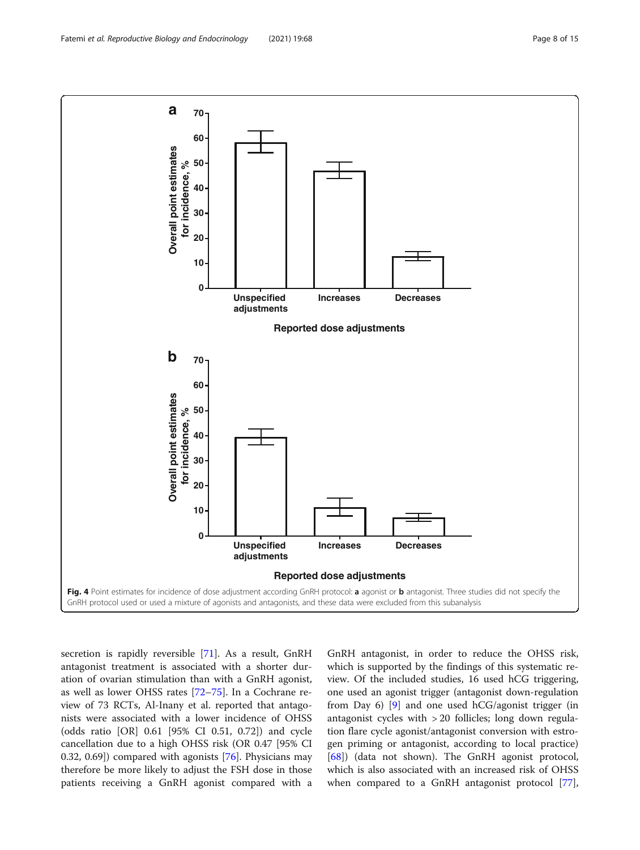<span id="page-7-0"></span>

secretion is rapidly reversible [[71](#page-13-0)]. As a result, GnRH antagonist treatment is associated with a shorter duration of ovarian stimulation than with a GnRH agonist, as well as lower OHSS rates [\[72](#page-13-0)–[75\]](#page-13-0). In a Cochrane review of 73 RCTs, Al-Inany et al. reported that antagonists were associated with a lower incidence of OHSS (odds ratio [OR] 0.61 [95% CI 0.51, 0.72]) and cycle cancellation due to a high OHSS risk (OR 0.47 [95% CI 0.32, 0.69]) compared with agonists [[76\]](#page-13-0). Physicians may therefore be more likely to adjust the FSH dose in those patients receiving a GnRH agonist compared with a

GnRH antagonist, in order to reduce the OHSS risk, which is supported by the findings of this systematic review. Of the included studies, 16 used hCG triggering, one used an agonist trigger (antagonist down-regulation from Day 6) [\[9](#page-11-0)] and one used hCG/agonist trigger (in antagonist cycles with > 20 follicles; long down regulation flare cycle agonist/antagonist conversion with estrogen priming or antagonist, according to local practice) [[68\]](#page-13-0)) (data not shown). The GnRH agonist protocol, which is also associated with an increased risk of OHSS when compared to a GnRH antagonist protocol [\[77](#page-13-0)],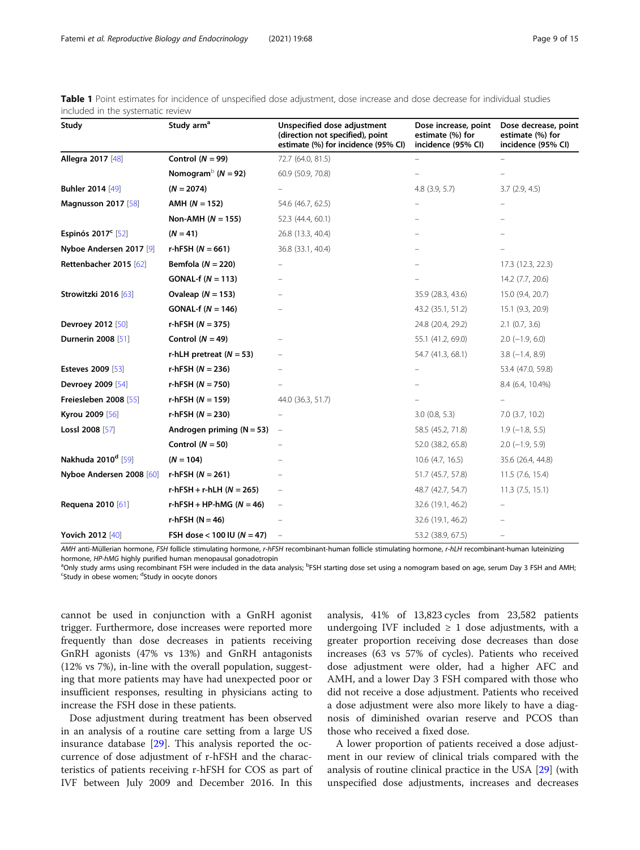| Study                          | Study arm <sup>a</sup>             | Unspecified dose adjustment<br>(direction not specified), point<br>estimate (%) for incidence (95% CI) | Dose increase, point<br>estimate (%) for<br>incidence (95% CI) | Dose decrease, point<br>estimate (%) for<br>incidence (95% CI) |
|--------------------------------|------------------------------------|--------------------------------------------------------------------------------------------------------|----------------------------------------------------------------|----------------------------------------------------------------|
| Allegra 2017 [48]              | Control $(N = 99)$                 | 72.7 (64.0, 81.5)                                                                                      |                                                                |                                                                |
|                                | Nomogram <sup>b</sup> ( $N = 92$ ) | 60.9 (50.9, 70.8)                                                                                      |                                                                |                                                                |
| Buhler 2014 [49]               | $(N = 2074)$                       |                                                                                                        | $4.8$ $(3.9, 5.7)$                                             | 3.7(2.9, 4.5)                                                  |
| <b>Magnusson 2017</b> [58]     | $AMH (N = 152)$                    | 54.6 (46.7, 62.5)                                                                                      |                                                                |                                                                |
|                                | Non-AMH $(N = 155)$                | 52.3 (44.4, 60.1)                                                                                      |                                                                |                                                                |
| Espinós 2017 $^{\circ}$ [52]   | $(N = 41)$                         | 26.8 (13.3, 40.4)                                                                                      |                                                                |                                                                |
| Nyboe Andersen 2017 [9]        | r-hFSH $(N = 661)$                 | 36.8 (33.1, 40.4)                                                                                      |                                                                |                                                                |
| Rettenbacher 2015 [62]         | Bemfola $(N = 220)$                |                                                                                                        |                                                                | 17.3 (12.3, 22.3)                                              |
|                                | GONAL- $f(N = 113)$                |                                                                                                        |                                                                | 14.2 (7.7, 20.6)                                               |
| Strowitzki 2016 [63]           | Ovaleap $(N = 153)$                |                                                                                                        | 35.9 (28.3, 43.6)                                              | 15.0 (9.4, 20.7)                                               |
|                                | GONAL-f $(N = 146)$                |                                                                                                        | 43.2 (35.1, 51.2)                                              | 15.1 (9.3, 20.9)                                               |
| Devroey 2012 [50]              | $r-hFSH (N = 375)$                 |                                                                                                        | 24.8 (20.4, 29.2)                                              | $2.1$ (0.7, 3.6)                                               |
| Durnerin 2008 [51]             | Control $(N = 49)$                 |                                                                                                        | 55.1 (41.2, 69.0)                                              | $2.0$ (-1.9, 6.0)                                              |
|                                | r-hLH pretreat $(N = 53)$          |                                                                                                        | 54.7 (41.3, 68.1)                                              | $3.8(-1.4, 8.9)$                                               |
| <b>Esteves 2009 [53]</b>       | $r-hFSH (N = 236)$                 |                                                                                                        |                                                                | 53.4 (47.0, 59.8)                                              |
| Devroey 2009 [54]              | r-hFSH $(N = 750)$                 |                                                                                                        |                                                                | 8.4 (6.4, 10.4%)                                               |
| Freiesleben 2008 [55]          | $r-hFSH (N = 159)$                 | 44.0 (36.3, 51.7)                                                                                      |                                                                |                                                                |
| Kyrou 2009 [56]                | r-hFSH $(N = 230)$                 |                                                                                                        | $3.0$ (0.8, 5.3)                                               | $7.0$ $(3.7, 10.2)$                                            |
| Lossl 2008 [57]                | Androgen priming $(N = 53)$        |                                                                                                        | 58.5 (45.2, 71.8)                                              | $1.9$ ( $-1.8$ , 5.5)                                          |
|                                | Control ( $N = 50$ )               |                                                                                                        | 52.0 (38.2, 65.8)                                              | $2.0$ (-1.9, 5.9)                                              |
| Nakhuda 2010 <sup>d</sup> [59] | $(N = 104)$                        |                                                                                                        | $10.6$ (4.7, 16.5)                                             | 35.6 (26.4, 44.8)                                              |
| Nyboe Andersen 2008 [60]       | r-hFSH $(N = 261)$                 |                                                                                                        | 51.7 (45.7, 57.8)                                              | $11.5$ (7.6, 15.4)                                             |
|                                | r-hFSH + r-hLH $(N = 265)$         |                                                                                                        | 48.7 (42.7, 54.7)                                              | 11.3(7.5, 15.1)                                                |
| Requena 2010 [61]              | r-hFSH + HP-hMG ( $N = 46$ )       |                                                                                                        | 32.6 (19.1, 46.2)                                              |                                                                |
|                                | r-hFSH $(N = 46)$                  |                                                                                                        | 32.6 (19.1, 46.2)                                              |                                                                |
| Yovich 2012 [40]               | FSH dose < 100 IU ( $N = 47$ )     |                                                                                                        | 53.2 (38.9, 67.5)                                              | $\overline{\phantom{0}}$                                       |

<span id="page-8-0"></span>Table 1 Point estimates for incidence of unspecified dose adjustment, dose increase and dose decrease for individual studies included in the systematic review

AMH anti-Müllerian hormone, FSH follicle stimulating hormone, r-hFSH recombinant-human follicle stimulating hormone, r-hLH recombinant-human luteinizing hormone, HP-hMG highly purified human menopausal gonadotropin

<sup>a</sup>Only study arms using recombinant FSH were included in the data analysis; <sup>b</sup>FSH starting dose set using a nomogram based on age, serum Day 3 FSH and AMH;<br><sup>CStudy in obese women: <sup>d</sup>Study in oporte donors</sup> Study in obese women; <sup>d</sup>Study in oocyte donors

cannot be used in conjunction with a GnRH agonist trigger. Furthermore, dose increases were reported more frequently than dose decreases in patients receiving GnRH agonists (47% vs 13%) and GnRH antagonists (12% vs 7%), in-line with the overall population, suggesting that more patients may have had unexpected poor or insufficient responses, resulting in physicians acting to increase the FSH dose in these patients.

Dose adjustment during treatment has been observed in an analysis of a routine care setting from a large US insurance database [[29\]](#page-12-0). This analysis reported the occurrence of dose adjustment of r-hFSH and the characteristics of patients receiving r-hFSH for COS as part of IVF between July 2009 and December 2016. In this

analysis, 41% of 13,823 cycles from 23,582 patients undergoing IVF included  $\geq 1$  dose adjustments, with a greater proportion receiving dose decreases than dose increases (63 vs 57% of cycles). Patients who received dose adjustment were older, had a higher AFC and AMH, and a lower Day 3 FSH compared with those who did not receive a dose adjustment. Patients who received a dose adjustment were also more likely to have a diagnosis of diminished ovarian reserve and PCOS than those who received a fixed dose.

A lower proportion of patients received a dose adjustment in our review of clinical trials compared with the analysis of routine clinical practice in the USA [[29](#page-12-0)] (with unspecified dose adjustments, increases and decreases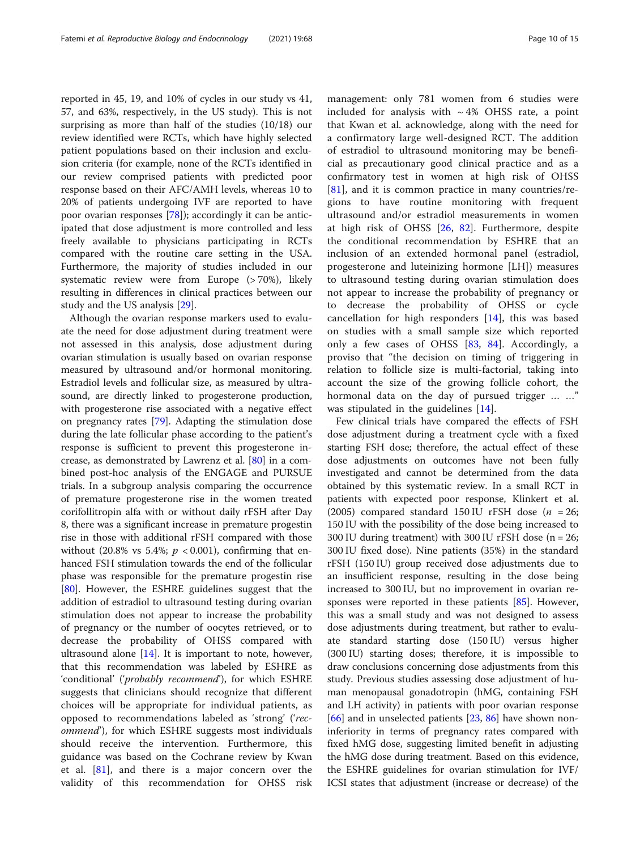reported in 45, 19, and 10% of cycles in our study vs 41, 57, and 63%, respectively, in the US study). This is not surprising as more than half of the studies (10/18) our review identified were RCTs, which have highly selected patient populations based on their inclusion and exclusion criteria (for example, none of the RCTs identified in our review comprised patients with predicted poor response based on their AFC/AMH levels, whereas 10 to 20% of patients undergoing IVF are reported to have poor ovarian responses [[78](#page-13-0)]); accordingly it can be anticipated that dose adjustment is more controlled and less freely available to physicians participating in RCTs compared with the routine care setting in the USA. Furthermore, the majority of studies included in our systematic review were from Europe (> 70%), likely resulting in differences in clinical practices between our study and the US analysis [[29\]](#page-12-0).

Although the ovarian response markers used to evaluate the need for dose adjustment during treatment were not assessed in this analysis, dose adjustment during ovarian stimulation is usually based on ovarian response measured by ultrasound and/or hormonal monitoring. Estradiol levels and follicular size, as measured by ultrasound, are directly linked to progesterone production, with progesterone rise associated with a negative effect on pregnancy rates [[79\]](#page-13-0). Adapting the stimulation dose during the late follicular phase according to the patient's response is sufficient to prevent this progesterone increase, as demonstrated by Lawrenz et al. [\[80](#page-13-0)] in a combined post-hoc analysis of the ENGAGE and PURSUE trials. In a subgroup analysis comparing the occurrence of premature progesterone rise in the women treated corifollitropin alfa with or without daily rFSH after Day 8, there was a significant increase in premature progestin rise in those with additional rFSH compared with those without (20.8% vs 5.4%;  $p < 0.001$ ), confirming that enhanced FSH stimulation towards the end of the follicular phase was responsible for the premature progestin rise [[80\]](#page-13-0). However, the ESHRE guidelines suggest that the addition of estradiol to ultrasound testing during ovarian stimulation does not appear to increase the probability of pregnancy or the number of oocytes retrieved, or to decrease the probability of OHSS compared with ultrasound alone  $[14]$  $[14]$  $[14]$ . It is important to note, however, that this recommendation was labeled by ESHRE as 'conditional' ('probably recommend'), for which ESHRE suggests that clinicians should recognize that different choices will be appropriate for individual patients, as opposed to recommendations labeled as 'strong' ('recommend'), for which ESHRE suggests most individuals should receive the intervention. Furthermore, this guidance was based on the Cochrane review by Kwan et al. [\[81](#page-13-0)], and there is a major concern over the validity of this recommendation for OHSS risk management: only 781 women from 6 studies were included for analysis with  $\sim$  4% OHSS rate, a point that Kwan et al. acknowledge, along with the need for a confirmatory large well-designed RCT. The addition of estradiol to ultrasound monitoring may be beneficial as precautionary good clinical practice and as a confirmatory test in women at high risk of OHSS [[81\]](#page-13-0), and it is common practice in many countries/regions to have routine monitoring with frequent ultrasound and/or estradiol measurements in women at high risk of OHSS [[26](#page-12-0), [82\]](#page-13-0). Furthermore, despite the conditional recommendation by ESHRE that an inclusion of an extended hormonal panel (estradiol, progesterone and luteinizing hormone [LH]) measures to ultrasound testing during ovarian stimulation does not appear to increase the probability of pregnancy or to decrease the probability of OHSS or cycle cancellation for high responders [[14](#page-12-0)], this was based on studies with a small sample size which reported only a few cases of OHSS [[83,](#page-13-0) [84](#page-13-0)]. Accordingly, a proviso that "the decision on timing of triggering in relation to follicle size is multi-factorial, taking into account the size of the growing follicle cohort, the hormonal data on the day of pursued trigger … …" was stipulated in the guidelines [[14\]](#page-12-0).

Few clinical trials have compared the effects of FSH dose adjustment during a treatment cycle with a fixed starting FSH dose; therefore, the actual effect of these dose adjustments on outcomes have not been fully investigated and cannot be determined from the data obtained by this systematic review. In a small RCT in patients with expected poor response, Klinkert et al. (2005) compared standard 150 IU rFSH dose  $(n = 26)$ ; 150 IU with the possibility of the dose being increased to 300 IU during treatment) with 300 IU rFSH dose (n = 26; 300 IU fixed dose). Nine patients (35%) in the standard rFSH (150 IU) group received dose adjustments due to an insufficient response, resulting in the dose being increased to 300 IU, but no improvement in ovarian responses were reported in these patients [\[85](#page-13-0)]. However, this was a small study and was not designed to assess dose adjustments during treatment, but rather to evaluate standard starting dose (150 IU) versus higher (300 IU) starting doses; therefore, it is impossible to draw conclusions concerning dose adjustments from this study. Previous studies assessing dose adjustment of human menopausal gonadotropin (hMG, containing FSH and LH activity) in patients with poor ovarian response [[66\]](#page-13-0) and in unselected patients [\[23,](#page-12-0) [86\]](#page-13-0) have shown noninferiority in terms of pregnancy rates compared with fixed hMG dose, suggesting limited benefit in adjusting the hMG dose during treatment. Based on this evidence, the ESHRE guidelines for ovarian stimulation for IVF/ ICSI states that adjustment (increase or decrease) of the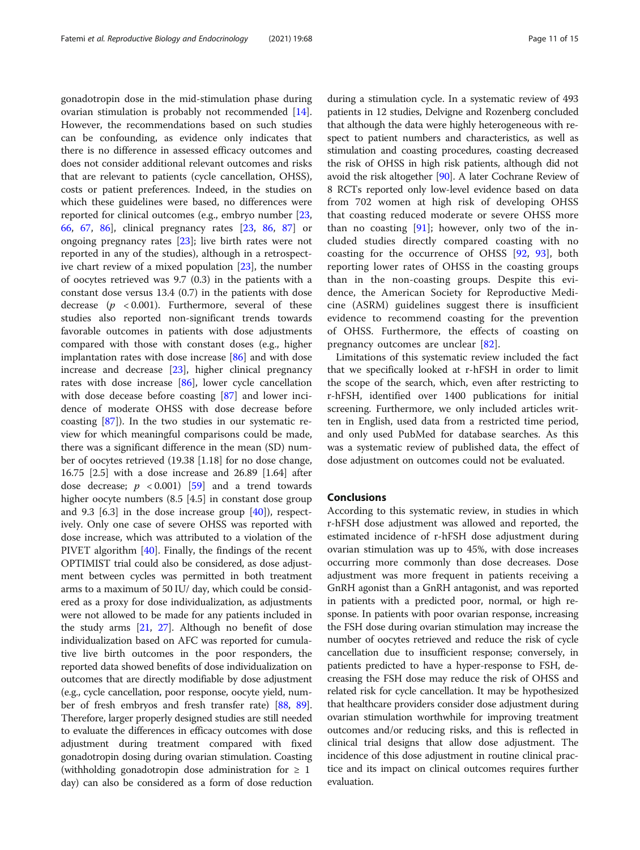gonadotropin dose in the mid-stimulation phase during ovarian stimulation is probably not recommended [\[14](#page-12-0)]. However, the recommendations based on such studies can be confounding, as evidence only indicates that there is no difference in assessed efficacy outcomes and does not consider additional relevant outcomes and risks that are relevant to patients (cycle cancellation, OHSS), costs or patient preferences. Indeed, in the studies on which these guidelines were based, no differences were reported for clinical outcomes (e.g., embryo number [[23](#page-12-0), [66,](#page-13-0) [67,](#page-13-0) [86\]](#page-13-0), clinical pregnancy rates [\[23](#page-12-0), [86](#page-13-0), [87](#page-13-0)] or ongoing pregnancy rates [\[23](#page-12-0)]; live birth rates were not reported in any of the studies), although in a retrospective chart review of a mixed population [[23\]](#page-12-0), the number of oocytes retrieved was 9.7 (0.3) in the patients with a constant dose versus 13.4 (0.7) in the patients with dose decrease ( $p \lt 0.001$ ). Furthermore, several of these studies also reported non-significant trends towards favorable outcomes in patients with dose adjustments compared with those with constant doses (e.g., higher implantation rates with dose increase [[86](#page-13-0)] and with dose increase and decrease [[23](#page-12-0)], higher clinical pregnancy rates with dose increase [[86\]](#page-13-0), lower cycle cancellation with dose decease before coasting [\[87](#page-13-0)] and lower incidence of moderate OHSS with dose decrease before coasting [[87](#page-13-0)]). In the two studies in our systematic review for which meaningful comparisons could be made, there was a significant difference in the mean (SD) number of oocytes retrieved (19.38 [1.18] for no dose change, 16.75 [2.5] with a dose increase and 26.89 [1.64] after dose decrease;  $p < 0.001$ ) [\[59](#page-13-0)] and a trend towards higher oocyte numbers  $(8.5 \; 4.5)$  in constant dose group and 9.3 [6.3] in the dose increase group  $[40]$  $[40]$ , respectively. Only one case of severe OHSS was reported with dose increase, which was attributed to a violation of the PIVET algorithm [\[40\]](#page-12-0). Finally, the findings of the recent OPTIMIST trial could also be considered, as dose adjustment between cycles was permitted in both treatment arms to a maximum of 50 IU/ day, which could be considered as a proxy for dose individualization, as adjustments were not allowed to be made for any patients included in the study arms [[21,](#page-12-0) [27\]](#page-12-0). Although no benefit of dose individualization based on AFC was reported for cumulative live birth outcomes in the poor responders, the reported data showed benefits of dose individualization on outcomes that are directly modifiable by dose adjustment (e.g., cycle cancellation, poor response, oocyte yield, number of fresh embryos and fresh transfer rate) [[88](#page-13-0), [89](#page-14-0)]. Therefore, larger properly designed studies are still needed to evaluate the differences in efficacy outcomes with dose adjustment during treatment compared with fixed gonadotropin dosing during ovarian stimulation. Coasting (withholding gonadotropin dose administration for  $\geq 1$ day) can also be considered as a form of dose reduction during a stimulation cycle. In a systematic review of 493 patients in 12 studies, Delvigne and Rozenberg concluded that although the data were highly heterogeneous with respect to patient numbers and characteristics, as well as stimulation and coasting procedures, coasting decreased the risk of OHSS in high risk patients, although did not avoid the risk altogether [[90](#page-14-0)]. A later Cochrane Review of 8 RCTs reported only low-level evidence based on data from 702 women at high risk of developing OHSS that coasting reduced moderate or severe OHSS more than no coasting  $[91]$  $[91]$ ; however, only two of the included studies directly compared coasting with no coasting for the occurrence of OHSS [[92,](#page-14-0) [93](#page-14-0)], both reporting lower rates of OHSS in the coasting groups than in the non-coasting groups. Despite this evidence, the American Society for Reproductive Medicine (ASRM) guidelines suggest there is insufficient evidence to recommend coasting for the prevention of OHSS. Furthermore, the effects of coasting on pregnancy outcomes are unclear [\[82](#page-13-0)].

Limitations of this systematic review included the fact that we specifically looked at r-hFSH in order to limit the scope of the search, which, even after restricting to r-hFSH, identified over 1400 publications for initial screening. Furthermore, we only included articles written in English, used data from a restricted time period, and only used PubMed for database searches. As this was a systematic review of published data, the effect of dose adjustment on outcomes could not be evaluated.

# Conclusions

According to this systematic review, in studies in which r-hFSH dose adjustment was allowed and reported, the estimated incidence of r-hFSH dose adjustment during ovarian stimulation was up to 45%, with dose increases occurring more commonly than dose decreases. Dose adjustment was more frequent in patients receiving a GnRH agonist than a GnRH antagonist, and was reported in patients with a predicted poor, normal, or high response. In patients with poor ovarian response, increasing the FSH dose during ovarian stimulation may increase the number of oocytes retrieved and reduce the risk of cycle cancellation due to insufficient response; conversely, in patients predicted to have a hyper-response to FSH, decreasing the FSH dose may reduce the risk of OHSS and related risk for cycle cancellation. It may be hypothesized that healthcare providers consider dose adjustment during ovarian stimulation worthwhile for improving treatment outcomes and/or reducing risks, and this is reflected in clinical trial designs that allow dose adjustment. The incidence of this dose adjustment in routine clinical practice and its impact on clinical outcomes requires further evaluation.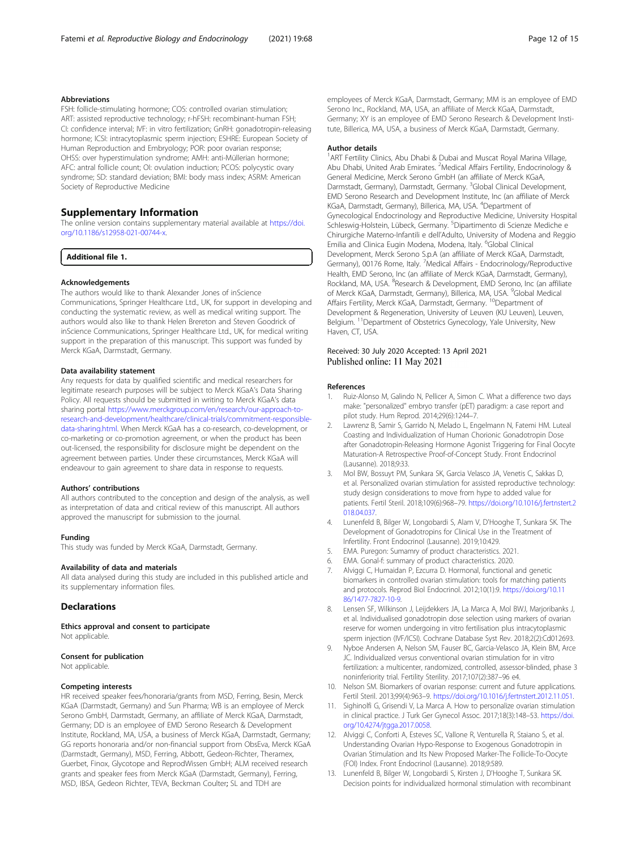#### <span id="page-11-0"></span>Abbreviations

FSH: follicle-stimulating hormone; COS: controlled ovarian stimulation; ART: assisted reproductive technology; r-hFSH: recombinant-human FSH; CI: confidence interval; IVF: in vitro fertilization; GnRH: gonadotropin-releasing hormone; ICSI: intracytoplasmic sperm injection; ESHRE: European Society of Human Reproduction and Embryology; POR: poor ovarian response; OHSS: over hyperstimulation syndrome; AMH: anti-Müllerian hormone; AFC: antral follicle count; OI: ovulation induction; PCOS: polycystic ovary syndrome; SD: standard deviation; BMI: body mass index; ASRM: American Society of Reproductive Medicine

### Supplementary Information

The online version contains supplementary material available at [https://doi.](https://doi.org/10.1186/s12958-021-00744-x) [org/10.1186/s12958-021-00744-x](https://doi.org/10.1186/s12958-021-00744-x).

#### Additional file 1.

#### Acknowledgements

The authors would like to thank Alexander Jones of inScience Communications, Springer Healthcare Ltd., UK, for support in developing and conducting the systematic review, as well as medical writing support. The authors would also like to thank Helen Brereton and Steven Goodrick of inScience Communications, Springer Healthcare Ltd., UK, for medical writing support in the preparation of this manuscript. This support was funded by Merck KGaA, Darmstadt, Germany.

#### Data availability statement

Any requests for data by qualified scientific and medical researchers for legitimate research purposes will be subject to Merck KGaA's Data Sharing Policy. All requests should be submitted in writing to Merck KGaA's data sharing portal [https://www.merckgroup.com/en/research/our-approach-to](https://www.merckgroup.com/en/research/our-approach-to-research-and-development/healthcare/clinical-trials/commitment-responsible-data-sharing.html)[research-and-development/healthcare/clinical-trials/commitment-responsible](https://www.merckgroup.com/en/research/our-approach-to-research-and-development/healthcare/clinical-trials/commitment-responsible-data-sharing.html)[data-sharing.html](https://www.merckgroup.com/en/research/our-approach-to-research-and-development/healthcare/clinical-trials/commitment-responsible-data-sharing.html). When Merck KGaA has a co-research, co-development, or co-marketing or co-promotion agreement, or when the product has been out-licensed, the responsibility for disclosure might be dependent on the agreement between parties. Under these circumstances, Merck KGaA will endeavour to gain agreement to share data in response to requests.

#### Authors' contributions

All authors contributed to the conception and design of the analysis, as well as interpretation of data and critical review of this manuscript. All authors approved the manuscript for submission to the journal.

#### Funding

This study was funded by Merck KGaA, Darmstadt, Germany.

#### Availability of data and materials

All data analysed during this study are included in this published article and its supplementary information files.

#### **Declarations**

Ethics approval and consent to participate Not applicable.

#### Consent for publication

Not applicable.

#### Competing interests

HR received speaker fees/honoraria/grants from MSD, Ferring, Besin, Merck KGaA (Darmstadt, Germany) and Sun Pharma; WB is an employee of Merck Serono GmbH, Darmstadt, Germany, an affiliate of Merck KGaA, Darmstadt, Germany; DD is an employee of EMD Serono Research & Development Institute, Rockland, MA, USA, a business of Merck KGaA, Darmstadt, Germany; GG reports honoraria and/or non-financial support from ObsEva, Merck KGaA (Darmstadt, Germany), MSD, Ferring, Abbott, Gedeon-Richter, Theramex, Guerbet, Finox, Glycotope and ReprodWissen GmbH; ALM received research grants and speaker fees from Merck KGaA (Darmstadt, Germany), Ferring, MSD, IBSA, Gedeon Richter, TEVA, Beckman Coulter; SL and TDH are

employees of Merck KGaA, Darmstadt, Germany; MM is an employee of EMD Serono Inc., Rockland, MA, USA, an affiliate of Merck KGaA, Darmstadt, Germany; XY is an employee of EMD Serono Research & Development Institute, Billerica, MA, USA, a business of Merck KGaA, Darmstadt, Germany.

#### Author details

<sup>1</sup> ART Fertility Clinics, Abu Dhabi & Dubai and Muscat Royal Marina Village, Abu Dhabi, United Arab Emirates. <sup>2</sup>Medical Affairs Fertility, Endocrinology & General Medicine, Merck Serono GmbH (an affiliate of Merck KGaA, Darmstadt, Germany), Darmstadt, Germany. <sup>3</sup>Global Clinical Development, EMD Serono Research and Development Institute, Inc (an affiliate of Merck KGaA, Darmstadt, Germany), Billerica, MA, USA. <sup>4</sup>Department of Gynecological Endocrinology and Reproductive Medicine, University Hospital Schleswig-Holstein, Lübeck, Germany. <sup>5</sup>Dipartimento di Scienze Mediche e Chirurgiche Materno-Infantili e dell'Adulto, University of Modena and Reggio Emilia and Clinica Eugin Modena, Modena, Italy. <sup>6</sup>Global Clinical Development, Merck Serono S.p.A (an affiliate of Merck KGaA, Darmstadt, Germany), 00176 Rome, Italy. <sup>7</sup>Medical Affairs - Endocrinology/Reproductive Health, EMD Serono, Inc (an affiliate of Merck KGaA, Darmstadt, Germany), Rockland, MA, USA. <sup>8</sup>Research & Development, EMD Serono, Inc (an affiliate of Merck KGaA, Darmstadt, Germany), Billerica, MA, USA. <sup>9</sup>Global Medical Affairs Fertility, Merck KGaA, Darmstadt, Germany. <sup>10</sup>Department of Development & Regeneration, University of Leuven (KU Leuven), Leuven, Belgium. 11Department of Obstetrics Gynecology, Yale University, New Haven, CT, USA.

### Received: 30 July 2020 Accepted: 13 April 2021 Published online: 11 May 2021

#### References

- Ruiz-Alonso M, Galindo N, Pellicer A, Simon C. What a difference two days make: "personalized" embryo transfer (pET) paradigm: a case report and pilot study. Hum Reprod. 2014;29(6):1244–7.
- 2. Lawrenz B, Samir S, Garrido N, Melado L, Engelmann N, Fatemi HM. Luteal Coasting and Individualization of Human Chorionic Gonadotropin Dose after Gonadotropin-Releasing Hormone Agonist Triggering for Final Oocyte Maturation-A Retrospective Proof-of-Concept Study. Front Endocrinol (Lausanne). 2018;9:33.
- 3. Mol BW, Bossuyt PM, Sunkara SK, Garcia Velasco JA, Venetis C, Sakkas D, et al. Personalized ovarian stimulation for assisted reproductive technology: study design considerations to move from hype to added value for patients. Fertil Steril. 2018;109(6):968–79. [https://doi.org/10.1016/j.fertnstert.2](https://doi.org/10.1016/j.fertnstert.2018.04.037) [018.04.037](https://doi.org/10.1016/j.fertnstert.2018.04.037).
- 4. Lunenfeld B, Bilger W, Longobardi S, Alam V, D'Hooghe T, Sunkara SK. The Development of Gonadotropins for Clinical Use in the Treatment of Infertility. Front Endocrinol (Lausanne). 2019;10:429.
- 5. EMA. Puregon: Sumamry of product characteristics. 2021.
- 6. EMA. Gonal-f: summary of product characteristics. 2020.
- 7. Alviggi C, Humaidan P, Ezcurra D. Hormonal, functional and genetic biomarkers in controlled ovarian stimulation: tools for matching patients and protocols. Reprod Biol Endocrinol. 2012;10(1):9. [https://doi.org/10.11](https://doi.org/10.1186/1477-7827-10-9) [86/1477-7827-10-9.](https://doi.org/10.1186/1477-7827-10-9)
- 8. Lensen SF, Wilkinson J, Leijdekkers JA, La Marca A, Mol BWJ, Marjoribanks J, et al. Individualised gonadotropin dose selection using markers of ovarian reserve for women undergoing in vitro fertilisation plus intracytoplasmic sperm injection (IVF/ICSI). Cochrane Database Syst Rev. 2018;2(2):Cd012693.
- 9. Nyboe Andersen A, Nelson SM, Fauser BC, Garcia-Velasco JA, Klein BM, Arce JC. Individualized versus conventional ovarian stimulation for in vitro fertilization: a multicenter, randomized, controlled, assessor-blinded, phase 3 noninferiority trial. Fertility Sterility. 2017;107(2):387–96 e4.
- 10. Nelson SM. Biomarkers of ovarian response: current and future applications. Fertil Steril. 2013;99(4):963–9. <https://doi.org/10.1016/j.fertnstert.2012.11.051>.
- 11. Sighinolfi G, Grisendi V, La Marca A. How to personalize ovarian stimulation in clinical practice. J Turk Ger Gynecol Assoc. 2017;18(3):148–53. [https://doi.](https://doi.org/10.4274/jtgga.2017.0058) [org/10.4274/jtgga.2017.0058](https://doi.org/10.4274/jtgga.2017.0058).
- 12. Alviggi C, Conforti A, Esteves SC, Vallone R, Venturella R, Staiano S, et al. Understanding Ovarian Hypo-Response to Exogenous Gonadotropin in Ovarian Stimulation and Its New Proposed Marker-The Follicle-To-Oocyte (FOI) Index. Front Endocrinol (Lausanne). 2018;9:589.
- 13. Lunenfeld B, Bilger W, Longobardi S, Kirsten J, D'Hooghe T, Sunkara SK. Decision points for individualized hormonal stimulation with recombinant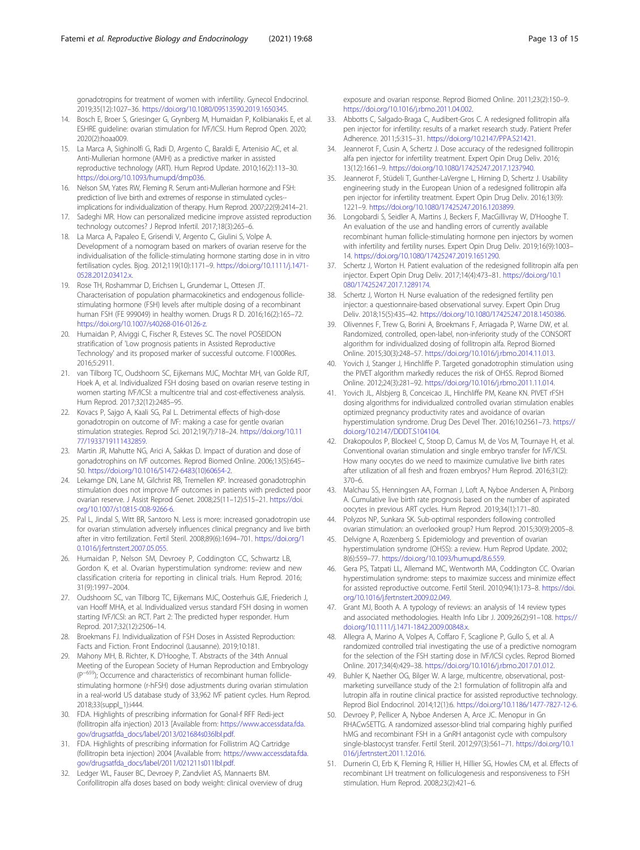<span id="page-12-0"></span>gonadotropins for treatment of women with infertility. Gynecol Endocrinol. 2019;35(12):1027–36. [https://doi.org/10.1080/09513590.2019.1650345.](https://doi.org/10.1080/09513590.2019.1650345)

- 14. Bosch E, Broer S, Griesinger G, Grynberg M, Humaidan P, Kolibianakis E, et al. ESHRE guideline: ovarian stimulation for IVF/ICSI. Hum Reprod Open. 2020; 2020(2):hoaa009.
- 15. La Marca A, Sighinolfi G, Radi D, Argento C, Baraldi E, Artenisio AC, et al. Anti-Mullerian hormone (AMH) as a predictive marker in assisted reproductive technology (ART). Hum Reprod Update. 2010;16(2):113–30. [https://doi.org/10.1093/humupd/dmp036.](https://doi.org/10.1093/humupd/dmp036)
- 16. Nelson SM, Yates RW, Fleming R. Serum anti-Mullerian hormone and FSH: prediction of live birth and extremes of response in stimulated cycles-implications for individualization of therapy. Hum Reprod. 2007;22(9):2414–21.
- 17. Sadeghi MR. How can personalized medicine improve assisted reproduction technology outcomes? J Reprod Infertil. 2017;18(3):265–6.
- 18. La Marca A, Papaleo E, Grisendi V, Argento C, Giulini S, Volpe A. Development of a nomogram based on markers of ovarian reserve for the individualisation of the follicle-stimulating hormone starting dose in in vitro fertilisation cycles. Bjog. 2012;119(10):1171–9. [https://doi.org/10.1111/j.1471-](https://doi.org/10.1111/j.1471-0528.2012.03412.x) [0528.2012.03412.x.](https://doi.org/10.1111/j.1471-0528.2012.03412.x)
- 19. Rose TH, Roshammar D, Erichsen L, Grundemar L, Ottesen JT. Characterisation of population pharmacokinetics and endogenous folliclestimulating hormone (FSH) levels after multiple dosing of a recombinant human FSH (FE 999049) in healthy women. Drugs R D. 2016;16(2):165–72. [https://doi.org/10.1007/s40268-016-0126-z.](https://doi.org/10.1007/s40268-016-0126-z)
- 20. Humaidan P, Alviggi C, Fischer R, Esteves SC. The novel POSEIDON stratification of 'Low prognosis patients in Assisted Reproductive Technology' and its proposed marker of successful outcome. F1000Res. 2016;5:2911.
- 21. van Tilborg TC, Oudshoorn SC, Eijkemans MJC, Mochtar MH, van Golde RJT, Hoek A, et al. Individualized FSH dosing based on ovarian reserve testing in women starting IVF/ICSI: a multicentre trial and cost-effectiveness analysis. Hum Reprod. 2017;32(12):2485–95.
- 22. Kovacs P, Sajgo A, Kaali SG, Pal L. Detrimental effects of high-dose gonadotropin on outcome of IVF: making a case for gentle ovarian stimulation strategies. Reprod Sci. 2012;19(7):718–24. [https://doi.org/10.11](https://doi.org/10.1177/1933719111432859) [77/1933719111432859.](https://doi.org/10.1177/1933719111432859)
- 23. Martin JR, Mahutte NG, Arici A, Sakkas D. Impact of duration and dose of gonadotrophins on IVF outcomes. Reprod Biomed Online. 2006;13(5):645– 50. [https://doi.org/10.1016/S1472-6483\(10\)60654-2.](https://doi.org/10.1016/S1472-6483(10)60654-2)
- 24. Lekamge DN, Lane M, Gilchrist RB, Tremellen KP. Increased gonadotrophin stimulation does not improve IVF outcomes in patients with predicted poor ovarian reserve. J Assist Reprod Genet. 2008;25(11–12):515–21. [https://doi.](https://doi.org/10.1007/s10815-008-9266-6) [org/10.1007/s10815-008-9266-6](https://doi.org/10.1007/s10815-008-9266-6).
- 25. Pal L, Jindal S, Witt BR, Santoro N. Less is more: increased gonadotropin use for ovarian stimulation adversely influences clinical pregnancy and live birth after in vitro fertilization. Fertil Steril. 2008;89(6):1694–701. [https://doi.org/1](https://doi.org/10.1016/j.fertnstert.2007.05.055) [0.1016/j.fertnstert.2007.05.055.](https://doi.org/10.1016/j.fertnstert.2007.05.055)
- 26. Humaidan P, Nelson SM, Devroey P, Coddington CC, Schwartz LB, Gordon K, et al. Ovarian hyperstimulation syndrome: review and new classification criteria for reporting in clinical trials. Hum Reprod. 2016; 31(9):1997–2004.
- 27. Oudshoorn SC, van Tilborg TC, Eijkemans MJC, Oosterhuis GJE, Friederich J, van Hooff MHA, et al. Individualized versus standard FSH dosing in women starting IVF/ICSI: an RCT. Part 2: The predicted hyper responder. Hum Reprod. 2017;32(12):2506–14.
- 28. Broekmans FJ. Individualization of FSH Doses in Assisted Reproduction: Facts and Fiction. Front Endocrinol (Lausanne). 2019;10:181.
- 29. Mahony MH, B. Richter, K. D'Hooghe, T. Abstracts of the 34th Annual Meeting of the European Society of Human Reproduction and Embryology (P<sup>-659</sup>); Occurrence and characteristics of recombinant human folliclestimulating hormone (r-hFSH) dose adjustments during ovarian stimulation in a real-world US database study of 33,962 IVF patient cycles. Hum Reprod. 2018;33(suppl\_1):i444.
- 30. FDA. Highlights of prescribing information for Gonal-f RFF Redi-ject (follitropin alfa injection) 2013 [Available from: [https://www.accessdata.fda.](https://www.accessdata.fda.gov/drugsatfda_docs/label/2013/021684s036lbl.pdf) [gov/drugsatfda\\_docs/label/2013/021684s036lbl.pdf.](https://www.accessdata.fda.gov/drugsatfda_docs/label/2013/021684s036lbl.pdf)
- 31. FDA. Highlights of prescribing information for Follistrim AQ Cartridge (follitropin beta injection) 2004 [Available from: [https://www.accessdata.fda.](https://www.accessdata.fda.gov/drugsatfda_docs/label/2011/021211s011lbl.pdf) [gov/drugsatfda\\_docs/label/2011/021211s011lbl.pdf.](https://www.accessdata.fda.gov/drugsatfda_docs/label/2011/021211s011lbl.pdf)
- 32. Ledger WL, Fauser BC, Devroey P, Zandvliet AS, Mannaerts BM. Corifollitropin alfa doses based on body weight: clinical overview of drug

exposure and ovarian response. Reprod Biomed Online. 2011;23(2):150–9. <https://doi.org/10.1016/j.rbmo.2011.04.002>.

- 33. Abbotts C, Salgado-Braga C, Audibert-Gros C. A redesigned follitropin alfa pen injector for infertility: results of a market research study. Patient Prefer Adherence. 2011;5:315–31. <https://doi.org/10.2147/PPA.S21421>.
- 34. Jeannerot F, Cusin A, Schertz J. Dose accuracy of the redesigned follitropin alfa pen injector for infertility treatment. Expert Opin Drug Deliv. 2016; 13(12):1661–9. [https://doi.org/10.1080/17425247.2017.1237940.](https://doi.org/10.1080/17425247.2017.1237940)
- 35. Jeannerot F, Stüdeli T, Gunther-LaVergne L, Hirning D, Schertz J. Usability engineering study in the European Union of a redesigned follitropin alfa pen injector for infertility treatment. Expert Opin Drug Deliv. 2016;13(9): 1221–9. <https://doi.org/10.1080/17425247.2016.1203899>.
- 36. Longobardi S, Seidler A, Martins J, Beckers F, MacGillivray W, D'Hooghe T. An evaluation of the use and handling errors of currently available recombinant human follicle-stimulating hormone pen injectors by women with infertility and fertility nurses. Expert Opin Drug Deliv. 2019;16(9):1003– 14. <https://doi.org/10.1080/17425247.2019.1651290>.
- 37. Schertz J, Worton H. Patient evaluation of the redesigned follitropin alfa pen injector. Expert Opin Drug Deliv. 2017;14(4):473–81. [https://doi.org/10.1](https://doi.org/10.1080/17425247.2017.1289174) [080/17425247.2017.1289174.](https://doi.org/10.1080/17425247.2017.1289174)
- 38. Schertz J, Worton H. Nurse evaluation of the redesigned fertility pen injector: a questionnaire-based observational survey. Expert Opin Drug Deliv. 2018;15(5):435–42. [https://doi.org/10.1080/17425247.2018.1450386.](https://doi.org/10.1080/17425247.2018.1450386)
- 39. Olivennes F, Trew G, Borini A, Broekmans F, Arriagada P, Warne DW, et al. Randomized, controlled, open-label, non-inferiority study of the CONSORT algorithm for individualized dosing of follitropin alfa. Reprod Biomed Online. 2015;30(3):248–57. <https://doi.org/10.1016/j.rbmo.2014.11.013>.
- 40. Yovich J, Stanger J, Hinchliffe P. Targeted gonadotrophin stimulation using the PIVET algorithm markedly reduces the risk of OHSS. Reprod Biomed Online. 2012;24(3):281–92. <https://doi.org/10.1016/j.rbmo.2011.11.014>.
- 41. Yovich JL, Alsbjerg B, Conceicao JL, Hinchliffe PM, Keane KN. PIVET rFSH dosing algorithms for individualized controlled ovarian stimulation enables optimized pregnancy productivity rates and avoidance of ovarian hyperstimulation syndrome. Drug Des Devel Ther. 2016;10:2561–73. [https://](https://doi.org/10.2147/DDDT.S104104) [doi.org/10.2147/DDDT.S104104](https://doi.org/10.2147/DDDT.S104104).
- 42. Drakopoulos P, Blockeel C, Stoop D, Camus M, de Vos M, Tournaye H, et al. Conventional ovarian stimulation and single embryo transfer for IVF/ICSI. How many oocytes do we need to maximize cumulative live birth rates after utilization of all fresh and frozen embryos? Hum Reprod. 2016;31(2): 370–6.
- 43. Malchau SS, Henningsen AA, Forman J, Loft A, Nyboe Andersen A, Pinborg A. Cumulative live birth rate prognosis based on the number of aspirated oocytes in previous ART cycles. Hum Reprod. 2019;34(1):171–80.
- 44. Polyzos NP, Sunkara SK. Sub-optimal responders following controlled ovarian stimulation: an overlooked group? Hum Reprod. 2015;30(9):2005–8.
- 45. Delvigne A, Rozenberg S. Epidemiology and prevention of ovarian hyperstimulation syndrome (OHSS): a review. Hum Reprod Update. 2002; 8(6):559–77. <https://doi.org/10.1093/humupd/8.6.559>.
- 46. Gera PS, Tatpati LL, Allemand MC, Wentworth MA, Coddington CC. Ovarian hyperstimulation syndrome: steps to maximize success and minimize effect for assisted reproductive outcome. Fertil Steril. 2010;94(1):173–8. [https://doi.](https://doi.org/10.1016/j.fertnstert.2009.02.049) [org/10.1016/j.fertnstert.2009.02.049.](https://doi.org/10.1016/j.fertnstert.2009.02.049)
- 47. Grant MJ, Booth A. A typology of reviews: an analysis of 14 review types and associated methodologies. Health Info Libr J. 2009;26(2):91–108. [https://](https://doi.org/10.1111/j.1471-1842.2009.00848.x) [doi.org/10.1111/j.1471-1842.2009.00848.x.](https://doi.org/10.1111/j.1471-1842.2009.00848.x)
- 48. Allegra A, Marino A, Volpes A, Coffaro F, Scaglione P, Gullo S, et al. A randomized controlled trial investigating the use of a predictive nomogram for the selection of the FSH starting dose in IVF/ICSI cycles. Reprod Biomed Online. 2017;34(4):429–38. <https://doi.org/10.1016/j.rbmo.2017.01.012>.
- 49. Buhler K, Naether OG, Bilger W. A large, multicentre, observational, postmarketing surveillance study of the 2:1 formulation of follitropin alfa and lutropin alfa in routine clinical practice for assisted reproductive technology. Reprod Biol Endocrinol. 2014;12(1):6. <https://doi.org/10.1186/1477-7827-12-6>.
- 50. Devroey P, Pellicer A, Nyboe Andersen A, Arce JC. Menopur in Gn RHACwSETTG. A randomized assessor-blind trial comparing highly purified hMG and recombinant FSH in a GnRH antagonist cycle with compulsory single-blastocyst transfer. Fertil Steril. 2012;97(3):561–71. [https://doi.org/10.1](https://doi.org/10.1016/j.fertnstert.2011.12.016) [016/j.fertnstert.2011.12.016](https://doi.org/10.1016/j.fertnstert.2011.12.016).
- 51. Durnerin CI, Erb K, Fleming R, Hillier H, Hillier SG, Howles CM, et al. Effects of recombinant LH treatment on folliculogenesis and responsiveness to FSH stimulation. Hum Reprod. 2008;23(2):421–6.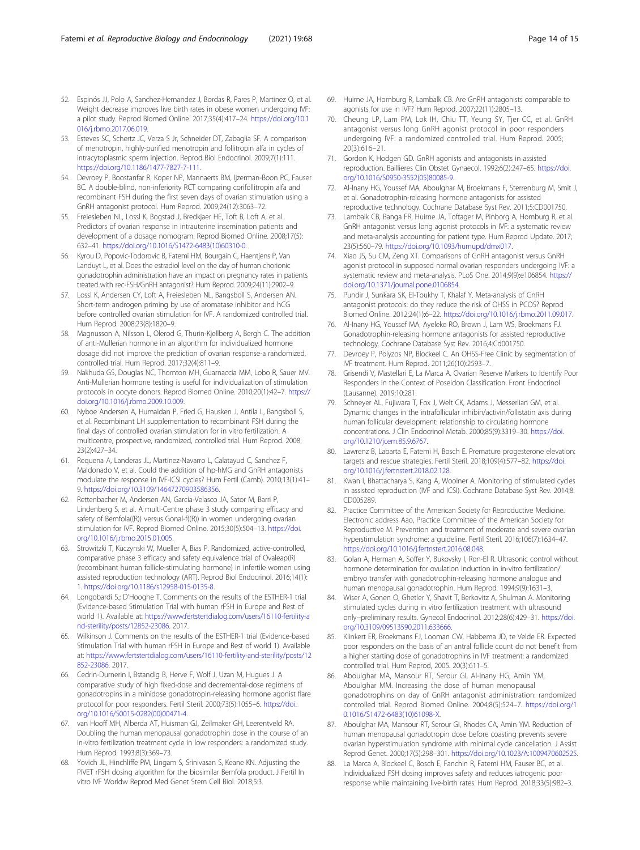- <span id="page-13-0"></span>52. Espinós JJ, Polo A, Sanchez-Hernandez J, Bordas R, Pares P, Martinez O, et al. Weight decrease improves live birth rates in obese women undergoing IVF: a pilot study. Reprod Biomed Online. 2017;35(4):417–24. [https://doi.org/10.1](https://doi.org/10.1016/j.rbmo.2017.06.019) 016/i.rbmo.2017.06.019.
- 53. Esteves SC, Schertz JC, Verza S Jr, Schneider DT, Zabaglia SF. A comparison of menotropin, highly-purified menotropin and follitropin alfa in cycles of intracytoplasmic sperm injection. Reprod Biol Endocrinol. 2009;7(1):111. <https://doi.org/10.1186/1477-7827-7-111>.
- 54. Devroey P, Boostanfar R, Koper NP, Mannaerts BM, Ijzerman-Boon PC, Fauser BC. A double-blind, non-inferiority RCT comparing corifollitropin alfa and recombinant FSH during the first seven days of ovarian stimulation using a GnRH antagonist protocol. Hum Reprod. 2009;24(12):3063–72.
- 55. Freiesleben NL, Lossl K, Bogstad J, Bredkjaer HE, Toft B, Loft A, et al. Predictors of ovarian response in intrauterine insemination patients and development of a dosage nomogram. Reprod Biomed Online. 2008;17(5): 632–41. [https://doi.org/10.1016/S1472-6483\(10\)60310-0.](https://doi.org/10.1016/S1472-6483(10)60310-0)
- 56. Kyrou D, Popovic-Todorovic B, Fatemi HM, Bourgain C, Haentjens P, Van Landuyt L, et al. Does the estradiol level on the day of human chorionic gonadotrophin administration have an impact on pregnancy rates in patients treated with rec-FSH/GnRH antagonist? Hum Reprod. 2009;24(11):2902–9.
- 57. Lossl K, Andersen CY, Loft A, Freiesleben NL, Bangsboll S, Andersen AN. Short-term androgen priming by use of aromatase inhibitor and hCG before controlled ovarian stimulation for IVF. A randomized controlled trial. Hum Reprod. 2008;23(8):1820–9.
- 58. Magnusson A, Nilsson L, Olerod G, Thurin-Kjellberg A, Bergh C. The addition of anti-Mullerian hormone in an algorithm for individualized hormone dosage did not improve the prediction of ovarian response-a randomized, controlled trial. Hum Reprod. 2017;32(4):811–9.
- 59. Nakhuda GS, Douglas NC, Thornton MH, Guarnaccia MM, Lobo R, Sauer MV. Anti-Mullerian hormone testing is useful for individualization of stimulation protocols in oocyte donors. Reprod Biomed Online. 2010;20(1):42–7. [https://](https://doi.org/10.1016/j.rbmo.2009.10.009) [doi.org/10.1016/j.rbmo.2009.10.009.](https://doi.org/10.1016/j.rbmo.2009.10.009)
- 60. Nyboe Andersen A, Humaidan P, Fried G, Hausken J, Antila L, Bangsboll S, et al. Recombinant LH supplementation to recombinant FSH during the final days of controlled ovarian stimulation for in vitro fertilization. A multicentre, prospective, randomized, controlled trial. Hum Reprod. 2008; 23(2):427–34.
- 61. Requena A, Landeras JL, Martinez-Navarro L, Calatayud C, Sanchez F, Maldonado V, et al. Could the addition of hp-hMG and GnRH antagonists modulate the response in IVF-ICSI cycles? Hum Fertil (Camb). 2010;13(1):41– 9. [https://doi.org/10.3109/14647270903586356.](https://doi.org/10.3109/14647270903586356)
- 62. Rettenbacher M, Andersen AN, Garcia-Velasco JA, Sator M, Barri P, Lindenberg S, et al. A multi-Centre phase 3 study comparing efficacy and safety of Bemfola((R)) versus Gonal-f((R)) in women undergoing ovarian stimulation for IVF. Reprod Biomed Online. 2015;30(5):504–13. [https://doi.](https://doi.org/10.1016/j.rbmo.2015.01.005) [org/10.1016/j.rbmo.2015.01.005](https://doi.org/10.1016/j.rbmo.2015.01.005).
- 63. Strowitzki T, Kuczynski W, Mueller A, Bias P. Randomized, active-controlled, comparative phase 3 efficacy and safety equivalence trial of Ovaleap(R) (recombinant human follicle-stimulating hormone) in infertile women using assisted reproduction technology (ART). Reprod Biol Endocrinol. 2016;14(1): 1. [https://doi.org/10.1186/s12958-015-0135-8.](https://doi.org/10.1186/s12958-015-0135-8)
- 64. Longobardi S.; D'Hooghe T. Comments on the results of the ESTHER-1 trial (Evidence-based Stimulation Trial with human rFSH in Europe and Rest of world 1). Available at: [https://www.fertstertdialog.com/users/16110-fertility-a](https://www.fertstertdialog.com/users/16110-fertility-and-sterility/posts/12852-23086) [nd-sterility/posts/12852-23086](https://www.fertstertdialog.com/users/16110-fertility-and-sterility/posts/12852-23086). 2017.
- 65. Wilkinson J. Comments on the results of the ESTHER-1 trial (Evidence-based Stimulation Trial with human rFSH in Europe and Rest of world 1). Available at: [https://www.fertstertdialog.com/users/16110-fertility-and-sterility/posts/12](https://www.fertstertdialog.com/users/16110-fertility-and-sterility/posts/12852-23086) [852-23086](https://www.fertstertdialog.com/users/16110-fertility-and-sterility/posts/12852-23086). 2017.
- 66. Cedrin-Durnerin I, Bstandig B, Herve F, Wolf J, Uzan M, Hugues J. A comparative study of high fixed-dose and decremental-dose regimens of gonadotropins in a minidose gonadotropin-releasing hormone agonist flare protocol for poor responders. Fertil Steril. 2000;73(5):1055–6. [https://doi.](https://doi.org/10.1016/S0015-0282(00)00471-4) [org/10.1016/S0015-0282\(00\)00471-4.](https://doi.org/10.1016/S0015-0282(00)00471-4)
- 67. van Hooff MH, Alberda AT, Huisman GJ, Zeilmaker GH, Leerentveld RA. Doubling the human menopausal gonadotrophin dose in the course of an in-vitro fertilization treatment cycle in low responders: a randomized study. Hum Reprod. 1993;8(3):369–73.
- 68. Yovich JL, Hinchliffe PM, Lingam S, Srinivasan S, Keane KN. Adjusting the PIVET rFSH dosing algorithm for the biosimilar Bemfola product. J Fertil In vitro IVF Worldw Reprod Med Genet Stem Cell Biol. 2018;5:3.
- 69. Huirne JA, Homburg R, Lambalk CB. Are GnRH antagonists comparable to agonists for use in IVF? Hum Reprod. 2007;22(11):2805–13.
- 70. Cheung LP, Lam PM, Lok IH, Chiu TT, Yeung SY, Tjer CC, et al. GnRH antagonist versus long GnRH agonist protocol in poor responders undergoing IVF: a randomized controlled trial. Hum Reprod. 2005; 20(3):616–21.
- 71. Gordon K, Hodgen GD. GnRH agonists and antagonists in assisted reproduction. Baillieres Clin Obstet Gynaecol. 1992;6(2):247–65. [https://doi.](https://doi.org/10.1016/S0950-3552(05)80085-9) [org/10.1016/S0950-3552\(05\)80085-9.](https://doi.org/10.1016/S0950-3552(05)80085-9)
- 72. Al-Inany HG, Youssef MA, Aboulghar M, Broekmans F, Sterrenburg M, Smit J, et al. Gonadotrophin-releasing hormone antagonists for assisted reproductive technology. Cochrane Database Syst Rev. 2011;5:CD001750.
- 73. Lambalk CB, Banga FR, Huirne JA, Toftager M, Pinborg A, Homburg R, et al. GnRH antagonist versus long agonist protocols in IVF: a systematic review and meta-analysis accounting for patient type. Hum Reprod Update. 2017; 23(5):560–79. <https://doi.org/10.1093/humupd/dmx017>.
- 74. Xiao JS, Su CM, Zeng XT. Comparisons of GnRH antagonist versus GnRH agonist protocol in supposed normal ovarian responders undergoing IVF: a systematic review and meta-analysis. PLoS One. 2014;9(9):e106854. [https://](https://doi.org/10.1371/journal.pone.0106854) [doi.org/10.1371/journal.pone.0106854.](https://doi.org/10.1371/journal.pone.0106854)
- 75. Pundir J, Sunkara SK, El-Toukhy T, Khalaf Y. Meta-analysis of GnRH antagonist protocols: do they reduce the risk of OHSS in PCOS? Reprod Biomed Online. 2012;24(1):6–22. [https://doi.org/10.1016/j.rbmo.2011.09.017.](https://doi.org/10.1016/j.rbmo.2011.09.017)
- 76. Al-Inany HG, Youssef MA, Ayeleke RO, Brown J, Lam WS, Broekmans FJ. Gonadotrophin-releasing hormone antagonists for assisted reproductive technology. Cochrane Database Syst Rev. 2016;4:Cd001750.
- 77. Devroey P, Polyzos NP, Blockeel C. An OHSS-Free Clinic by segmentation of IVF treatment. Hum Reprod. 2011;26(10):2593–7.
- 78. Grisendi V, Mastellari E, La Marca A. Ovarian Reserve Markers to Identify Poor Responders in the Context of Poseidon Classification. Front Endocrinol (Lausanne). 2019;10:281.
- 79. Schneyer AL, Fujiwara T, Fox J, Welt CK, Adams J, Messerlian GM, et al. Dynamic changes in the intrafollicular inhibin/activin/follistatin axis during human follicular development: relationship to circulating hormone concentrations. J Clin Endocrinol Metab. 2000;85(9):3319–30. [https://doi.](https://doi.org/10.1210/jcem.85.9.6767) [org/10.1210/jcem.85.9.6767](https://doi.org/10.1210/jcem.85.9.6767).
- 80. Lawrenz B, Labarta E, Fatemi H, Bosch E. Premature progesterone elevation: targets and rescue strategies. Fertil Steril. 2018;109(4):577–82. [https://doi.](https://doi.org/10.1016/j.fertnstert.2018.02.128) [org/10.1016/j.fertnstert.2018.02.128.](https://doi.org/10.1016/j.fertnstert.2018.02.128)
- 81. Kwan I, Bhattacharya S, Kang A, Woolner A. Monitoring of stimulated cycles in assisted reproduction (IVF and ICSI). Cochrane Database Syst Rev. 2014;8: CD005289.
- 82. Practice Committee of the American Society for Reproductive Medicine. Electronic address Aao, Practice Committee of the American Society for Reproductive M. Prevention and treatment of moderate and severe ovarian hyperstimulation syndrome: a guideline. Fertil Steril. 2016;106(7):1634–47. [https://doi.org/10.1016/j.fertnstert.2016.08.048.](https://doi.org/10.1016/j.fertnstert.2016.08.048)
- 83. Golan A, Herman A, Soffer Y, Bukovsky I, Ron-El R. Ultrasonic control without hormone determination for ovulation induction in in-vitro fertilization/ embryo transfer with gonadotrophin-releasing hormone analogue and human menopausal gonadotrophin. Hum Reprod. 1994;9(9):1631–3.
- Wiser A, Gonen O, Ghetler Y, Shavit T, Berkovitz A, Shulman A. Monitoring stimulated cycles during in vitro fertilization treatment with ultrasound only--preliminary results. Gynecol Endocrinol. 2012;28(6):429–31. [https://doi.](https://doi.org/10.3109/09513590.2011.633666) [org/10.3109/09513590.2011.633666.](https://doi.org/10.3109/09513590.2011.633666)
- 85. Klinkert ER, Broekmans FJ, Looman CW, Habbema JD, te Velde ER. Expected poor responders on the basis of an antral follicle count do not benefit from a higher starting dose of gonadotrophins in IVF treatment: a randomized controlled trial. Hum Reprod, 2005. 20(3):611–5.
- 86. Aboulghar MA, Mansour RT, Serour GI, Al-Inany HG, Amin YM, Aboulghar MM. Increasing the dose of human menopausal gonadotrophins on day of GnRH antagonist administration: randomized controlled trial. Reprod Biomed Online. 2004;8(5):524–7. [https://doi.org/1](https://doi.org/10.1016/S1472-6483(10)61098-X) [0.1016/S1472-6483\(10\)61098-X](https://doi.org/10.1016/S1472-6483(10)61098-X).
- 87. Aboulghar MA, Mansour RT, Serour GI, Rhodes CA, Amin YM. Reduction of human menopausal gonadotropin dose before coasting prevents severe ovarian hyperstimulation syndrome with minimal cycle cancellation. J Assist Reprod Genet. 2000;17(5):298–301. <https://doi.org/10.1023/A:1009470602525>.
- 88. La Marca A, Blockeel C, Bosch E, Fanchin R, Fatemi HM, Fauser BC, et al. Individualized FSH dosing improves safety and reduces iatrogenic poor response while maintaining live-birth rates. Hum Reprod. 2018;33(5):982–3.